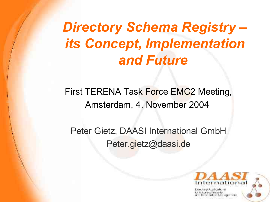# *Directory Schema Registry – its Concept, Implementation and Future*

First TERENA Task Force EMC<sub>2</sub> Meeting, Amsterdam, 4. November 2004

Peter Gietz, DAASI International GmbH Peter.gietz@daasi.de



Directory Applications этнабол манаветен.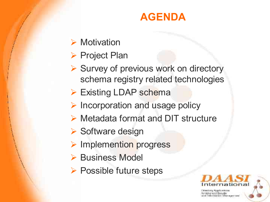#### **AGENDA**

- $\triangleright$  Motivation
- $\triangleright$  Project Plan
- $\triangleright$  Survey of previous work on directory schema registry related technologies
- ▶ Existing LDAP schema
- $\triangleright$  Incorporation and usage policy
- ▶ Metadata format and DIT structure
- $\triangleright$  Software design
- > Implemention progress
- **▶ Business Model**
- ▶ Possible future steps



Deweitury, Angels powers of Advanced Becurity enf Information Management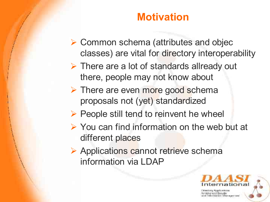#### **Motivation**

- ▶ Common schema (attributes and objec classes) are vital for directory interoperability
- $\triangleright$  There are a lot of standards allready out there, people may not know about
- > There are even more good schema proposals not (yet) standardized
- $\triangleright$  People still tend to reinvent he wheel
- $\triangleright$  You can find information on the web but at different places
- ▶ Applications cannot retrieve schema information via LDAP



Information Management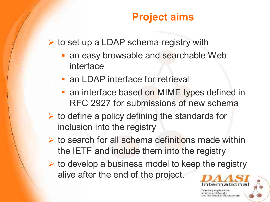### **Project aims**

 $\triangleright$  to set up a LDAP schema registry with

- an easy browsable and searchable Web interface
- **an LDAP interface for retrieval**
- an interface based on MIME types defined in RFC 2927 for submissions of new schema
- $\triangleright$  to define a policy defining the standards for inclusion into the registry
- $\triangleright$  to search for all schema definitions made within the IETF and include them into the registry
- $\triangleright$  to develop a business model to keep the registry alive after the end of the project.

ronabiri Mamagemare

ational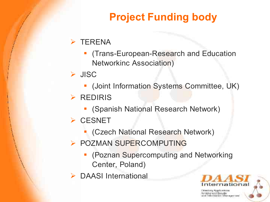# **Project Funding body**

#### $\triangleright$  TERENA

- (Trans-European-Research and Education Networkinc Association)
- > JISC
	- (Joint Information Systems Committee, UK)
- $\triangleright$  REDIRIS
	- (Spanish National Research Network)
- $\triangleright$  CESNET
	- (Czech National Research Network)
- **POZMAN SUPERCOMPUTING** 
	- **(Poznan Supercomputing and Networking** Center, Poland)
- $\triangleright$  DAASI International



Directory, Application ntorunatum fahamagement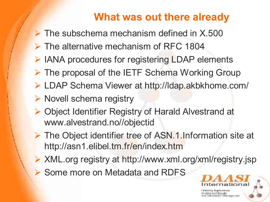#### **What was out there already**

- $\triangleright$  The subschema mechanism defined in X.500
- $\triangleright$  The alternative mechanism of RFC 1804
- ▶ IANA procedures for registering LDAP elements
- $\triangleright$  The proposal of the IETF Schema Working Group
- LDAP Schema Viewer at http://ldap.akbkhome.com/
- $\triangleright$  Novell schema registry
- Object Identifier Registry of Harald Alvestrand at www.alvestrand.no//objectid
- $\triangleright$  The Object identifier tree of ASN.1.Information site at http://asn1.elibel.tm.fr/en/index.htm
- ▶ XML.org registry at http://www.xml.org/xml/registry.jsp
- **▶ Some more on Metadata and RDFS**

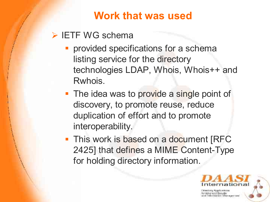**Work that was used**

#### > IETF WG schema

- **provided specifications for a schema** listing service for the directory technologies LDAP, Whois, Whois++ and Rwhois.
- The idea was to provide a single point of discovery, to promote reuse, reduce duplication of effort and to promote interoperability.
- This work is based on a document [RFC 2425] that defines a MIME Content-Type for holding directory information.



nlocusidan Mamopeman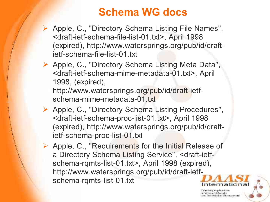#### **Schema WG docs**

- ▶ Apple, C., "Directory Schema Listing File Names", <draft-ietf-schema-file-list-01.txt> , April 1998 (expired), http://www.watersprings.org/pub/id/draftietf-schema-file-list-01.txt
- Apple, C., "Directory Schema Listing Meta Data", <draft-ietf-schema-mime-metadata-01.txt> , April 1998, (expired),
	- http://www.watersprings.org/pub/id/draft-ietfschema-mime-metadata-01.txt
- > Apple, C., "Directory Schema Listing Procedures", <draft-ietf-schema-proc-list-01.txt> , April 1998 (expired), http://www.watersprings.org/pub/id/draftietf-schema-proc-list-01.txt
- ▶ Apple, C., "Requirements for the Initial Release of a Directory Schema Listing Service" , <draft-ietfschema-rqmts-list-01.txt> , April 1998 (expired), http://www.watersprings.org/pub/id/draft-ietfschema-rqmts-list-01.txt

constitute Manageman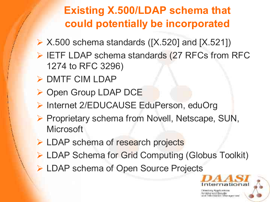# **Existing X.500/LDAP schema that could potentially be incorporated**

- $\triangleright$  X.500 schema standards ([X.520] and [X.521])
- $\triangleright$  IETF LDAP schema standards (27 RFCs from RFC 1274 to RFC 3296)
- $\triangleright$  DMTF CIM LDAP
- ▶ Open Group LDAP DCE
- ▶ Internet 2/EDUCAUSE EduPerson, eduOrg
- ▶ Proprietary schema from Novell, Netscape, SUN, **Microsoft**
- **► LDAP schema of research projects**
- ▶ LDAP Schema for Grid Computing (Globus Toolkit)
- ▶ LDAP schema of Open Source Projects



documicant Management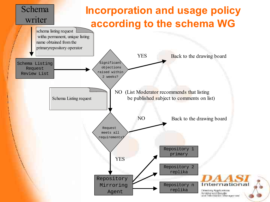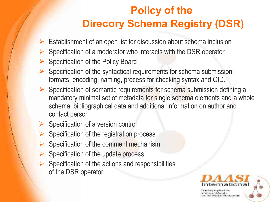# **Policy of the Direcory Schema Registry (DSR)**

- $\triangleright$  Establishment of an open list for discussion about schema inclusion
- $\triangleright$  Specification of a moderator who interacts with the DSR operator
- $\triangleright$  Specification of the Policy Board
- $\triangleright$  Specification of the syntactical requirements for schema submission: formats, encoding, naming, process for checking syntax and OID.
- $\triangleright$  Specification of semantic requirements for schema submission defining a mandatory minimal set of metadata for single schema elements and a whole schema, bibliographical data and additional information on author and contact person
- $\triangleright$  Specification of a version control
- $\triangleright$  Specification of the registration process
- $\triangleright$  Specification of the comment mechanism
- $\triangleright$  Specification of the update process
- $\triangleright$  Specification of the actions and responsibilities of the DSR operator



for Artygneed Ecourity Information Management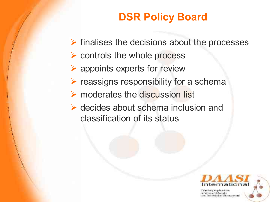# **DSR Policy Board**

- $\triangleright$  finalises the decisions about the processes
- $\triangleright$  controls the whole process
- appoints experts for review
- $\triangleright$  reassigns responsibility for a schema
- $\triangleright$  moderates the discussion list
- ▶ decides about schema inclusion and classification of its status



olorunalitri Mamagemani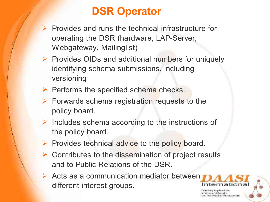# **DSR Operator**

- $\triangleright$  Provides and runs the technical infrastructure for operating the DSR (hardware, LAP-Server, Webgateway, Mailinglist)
- $\triangleright$  Provides OIDs and additional numbers for uniquely identifying schema submissions, including versioning
- $\triangleright$  Performs the specified schema checks.
- $\triangleright$  Forwards schema registration requests to the policy board.
- $\triangleright$  Includes schema according to the instructions of the policy board.
- $\triangleright$  Provides technical advice to the policy board.
- $\triangleright$  Contributes to the dissemination of project results and to Public Relations of the DSR.
- $\triangleright$  Acts as a communication mediator between different interest groups.



іллі Мінгінднетінге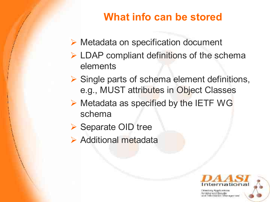# **What info can be stored**

- ▶ Metadata on specification document
- $\triangleright$  LDAP compliant definitions of the schema elements
- $\triangleright$  Single parts of schema element definitions, e.g., MUST attributes in Object Classes
- $\triangleright$  Metadata as specified by the IETF WG schema
- ▶ Separate OID tree
- $\triangleright$  Additional metadata



Information Management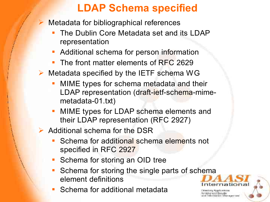### **LDAP Schema specified**

- Metadata for bibliographical references
	- The Dublin Core Metadata set and its LDAP representation
	- Additional schema for person information
	- The front matter elements of RFC 2629
- $\triangleright$  Metadata specified by the IETF schema WG
	- MIME types for schema metadata and their LDAP representation (draft-ietf-schema-mimemetadata-01.txt)
	- MIME types for LDAP schema elements and their LDAP representation (RFC 2927)
- $\triangleright$  Additional schema for the DSR
	- Schema for additional schema elements not specified in RFC 2927
	- **Schema for storing an OID tree**
	- Schema for storing the single parts of schema element definitions
	- Schema for additional metadata

in'i fatoma permane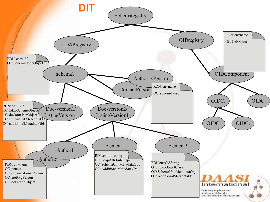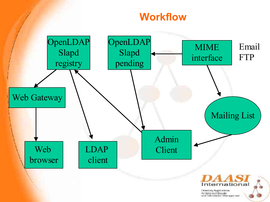#### **Workflow**



Плексову Аррахества for Article rood Spourity<br>and Internacion Mamagement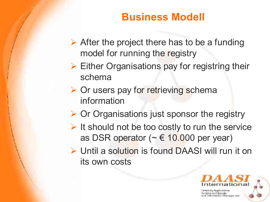#### **Business Modell**

- $\triangleright$  After the project there has to be a funding model for running the registry
- $\triangleright$  Either Organisations pay for registring their schema
- $\triangleright$  Or users pay for retrieving schema information
- $\triangleright$  Or Organisations just sponsor the registry
- $\triangleright$  It should not be too costly to run the service as DSR operator ( $\sim \epsilon$  10.000 per year)
- Until a solution is found DAASI will run it on its own costs



nter unidato filmo ecremos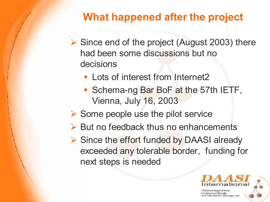# **What happened after the project**

- $\triangleright$  Since end of the project (August 2003) there had been some discussions but no decisions
	- **Lots of interest from Internet2**
	- Schema-ng Bar BoF at the 57th IETF, Vienna, July 16, 2003
- $\triangleright$  Some people use the pilot service
- $\triangleright$  But no feedback thus no enhancements
- ▶ Since the effort funded by DAASI already exceeded any tolerable border, funding for next steps is needed



nlocusidan Mamopeman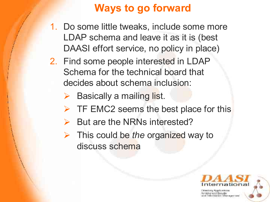# **Ways to go forward**

- 1. Do some little tweaks, include some more LDAP schema and leave it as it is (best DAASI effort service, no policy in place)
- 2. Find some people interested in LDAP Schema for the technical board that decides about schema inclusion:
	- $\triangleright$  Basically a mailing list.
	- $\triangleright$  TF EMC2 seems the best place for this
	- But are the NRNs interested?
	- This could be *the* organized way to discuss schema



nter unidato filmo ecremos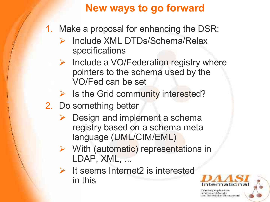# **New ways to go forward**

- 1. Make a proposal for enhancing the DSR:
	- Include XML DTDs/Schema/Relax specifications
	- $\triangleright$  Include a VO/Federation registry where pointers to the schema used by the VO/Fed can be set
	- $\triangleright$  Is the Grid community interested?
- 2. Do something better
	- $\triangleright$  Design and implement a schema registry based on a schema meta language (UML/CIM/EML)
	- $\triangleright$  With (automatic) representations in LDAP, XML, ...
	- $\triangleright$  It seems Internet2 is interested in this



nter unidato's februaries mare